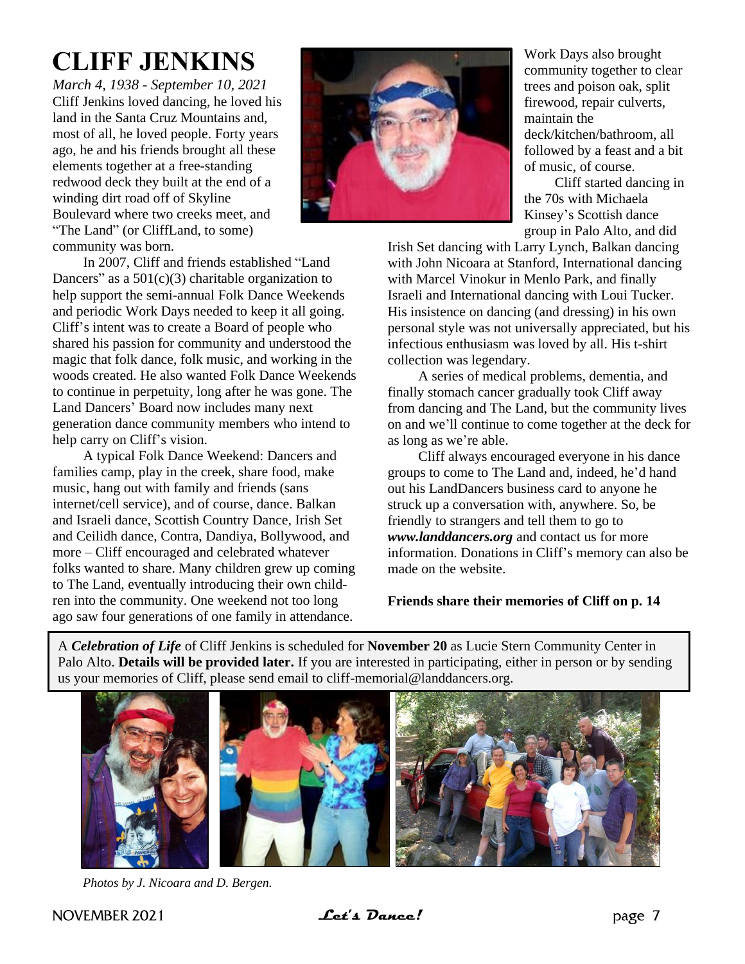# **CLIFF JENKINS**

*March 4, 1938 - September 10, 2021* Cliff Jenkins loved dancing, he loved his land in the Santa Cruz Mountains and, most of all, he loved people. Forty years ago, he and his friends brought all these elements together at a free-standing redwood deck they built at the end of a winding dirt road off of Skyline Boulevard where two creeks meet, and "The Land" (or CliffLand, to some) community was born.



In 2007, Cliff and friends established "Land Dancers" as a  $501(c)(3)$  charitable organization to help support the semi-annual Folk Dance Weekends and periodic Work Days needed to keep it all going. Cliff's intent was to create a Board of people who shared his passion for community and understood the magic that folk dance, folk music, and working in the woods created. He also wanted Folk Dance Weekends to continue in perpetuity, long after he was gone. The Land Dancers' Board now includes many next generation dance community members who intend to help carry on Cliff's vision.

A typical Folk Dance Weekend: Dancers and families camp, play in the creek, share food, make music, hang out with family and friends (sans internet/cell service), and of course, dance. Balkan and Israeli dance, Scottish Country Dance, Irish Set and Ceilidh dance, Contra, Dandiya, Bollywood, and more – Cliff encouraged and celebrated whatever folks wanted to share. Many children grew up coming to The Land, eventually introducing their own children into the community. One weekend not too long ago saw four generations of one family in attendance.

Work Days also brought community together to clear trees and poison oak, split firewood, repair culverts, maintain the deck/kitchen/bathroom, all followed by a feast and a bit of music, of course.

Cliff started dancing in the 70s with Michaela Kinsey's Scottish dance group in Palo Alto, and did

Irish Set dancing with Larry Lynch, Balkan dancing with John Nicoara at Stanford, International dancing with Marcel Vinokur in Menlo Park, and finally Israeli and International dancing with Loui Tucker. His insistence on dancing (and dressing) in his own personal style was not universally appreciated, but his infectious enthusiasm was loved by all. His t-shirt collection was legendary.

A series of medical problems, dementia, and finally stomach cancer gradually took Cliff away from dancing and The Land, but the community lives on and we'll continue to come together at the deck for as long as we're able.

Cliff always encouraged everyone in his dance groups to come to The Land and, indeed, he'd hand out his LandDancers business card to anyone he struck up a conversation with, anywhere. So, be friendly to strangers and tell them to go to *www.landdancers.org* and contact us for more information. Donations in Cliff's memory can also be made on the website.

### **Friends share their memories of Cliff on p. 14**

A *Celebration of Life* of Cliff Jenkins is scheduled for **November 20** as Lucie Stern Community Center in Palo Alto. **Details will be provided later.** If you are interested in participating, either in person or by sending us your memories of Cliff, please send email to cliff-memorial@landdancers.org.



*Photos by J. Nicoara and D. Bergen.*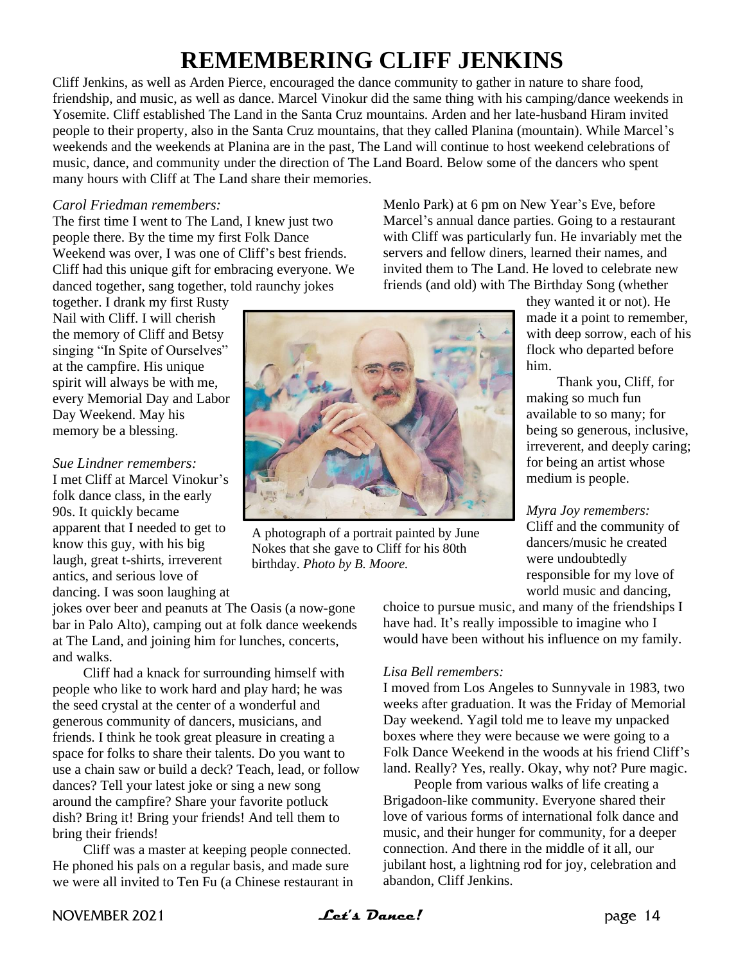# **REMEMBERING CLIFF JENKINS**

Cliff Jenkins, as well as Arden Pierce, encouraged the dance community to gather in nature to share food, friendship, and music, as well as dance. Marcel Vinokur did the same thing with his camping/dance weekends in Yosemite. Cliff established The Land in the Santa Cruz mountains. Arden and her late-husband Hiram invited people to their property, also in the Santa Cruz mountains, that they called Planina (mountain). While Marcel's weekends and the weekends at Planina are in the past, The Land will continue to host weekend celebrations of music, dance, and community under the direction of The Land Board. Below some of the dancers who spent many hours with Cliff at The Land share their memories.

#### *Carol Friedman remembers:*

The first time I went to The Land, I knew just two people there. By the time my first Folk Dance Weekend was over, I was one of Cliff's best friends. Cliff had this unique gift for embracing everyone. We danced together, sang together, told raunchy jokes

together. I drank my first Rusty Nail with Cliff. I will cherish the memory of Cliff and Betsy singing "In Spite of Ourselves" at the campfire. His unique spirit will always be with me, every Memorial Day and Labor Day Weekend. May his memory be a blessing.

## *Sue Lindner remembers:*

I met Cliff at Marcel Vinokur's folk dance class, in the early 90s. It quickly became apparent that I needed to get to know this guy, with his big laugh, great t-shirts, irreverent antics, and serious love of dancing. I was soon laughing at

jokes over beer and peanuts at The Oasis (a now-gone bar in Palo Alto), camping out at folk dance weekends at The Land, and joining him for lunches, concerts, and walks.

Cliff had a knack for surrounding himself with people who like to work hard and play hard; he was the seed crystal at the center of a wonderful and generous community of dancers, musicians, and friends. I think he took great pleasure in creating a space for folks to share their talents. Do you want to use a chain saw or build a deck? Teach, lead, or follow dances? Tell your latest joke or sing a new song around the campfire? Share your favorite potluck dish? Bring it! Bring your friends! And tell them to bring their friends!

Cliff was a master at keeping people connected. He phoned his pals on a regular basis, and made sure we were all invited to Ten Fu (a Chinese restaurant in



A photograph of a portrait painted by June Nokes that she gave to Cliff for his 80th birthday. *Photo by B. Moore.*

Menlo Park) at 6 pm on New Year's Eve, before Marcel's annual dance parties. Going to a restaurant with Cliff was particularly fun. He invariably met the servers and fellow diners, learned their names, and invited them to The Land. He loved to celebrate new friends (and old) with The Birthday Song (whether

they wanted it or not). He made it a point to remember, with deep sorrow, each of his flock who departed before him.

Thank you, Cliff, for making so much fun available to so many; for being so generous, inclusive, irreverent, and deeply caring; for being an artist whose medium is people.

*Myra Joy remembers:* Cliff and the community of dancers/music he created were undoubtedly responsible for my love of world music and dancing,

choice to pursue music, and many of the friendships I have had. It's really impossible to imagine who I would have been without his influence on my family.

#### *Lisa Bell remembers:*

I moved from Los Angeles to Sunnyvale in 1983, two weeks after graduation. It was the Friday of Memorial Day weekend. Yagil told me to leave my unpacked boxes where they were because we were going to a Folk Dance Weekend in the woods at his friend Cliff's land. Really? Yes, really. Okay, why not? Pure magic.

People from various walks of life creating a Brigadoon-like community. Everyone shared their love of various forms of international folk dance and music, and their hunger for community, for a deeper connection. And there in the middle of it all, our jubilant host, a lightning rod for joy, celebration and abandon, Cliff Jenkins.